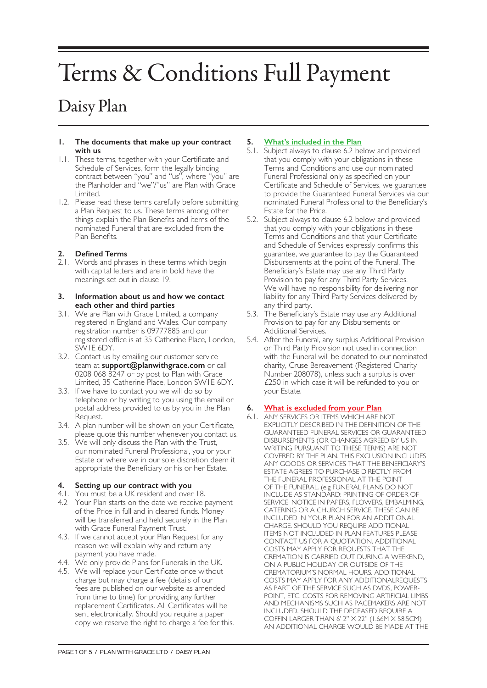# Terms & Conditions Full Payment

# Daisy Plan

#### **1. The documents that make up your contract with us**

- 1.1. These terms, together with your Certificate and Schedule of Services, form the legally binding contract between "you" and "us", where "you" are the Planholder and "we"/"us" are Plan with Grace Limited.
- 1.2. Please read these terms carefully before submitting a Plan Request to us. These terms among other things explain the Plan Benefits and items of the nominated Funeral that are excluded from the Plan Benefits.

# **2. Defined Terms**

2.1. Words and phrases in these terms which begin with capital letters and are in bold have the meanings set out in clause 19.

#### **3. Information about us and how we contact each other and third parties**

- 3.1. We are Plan with Grace Limited, a company registered in England and Wales. Our company registration number is 09777885 and our registered office is at 35 Catherine Place, London, SW1E 6DY.
- 3.2. Contact us by emailing our customer service team at **support@planwithgrace.com** or call 0208 068 8247 or by post to Plan with Grace Limited, 35 Catherine Place, London SW1E 6DY.
- 3.3. If we have to contact you we will do so by telephone or by writing to you using the email or postal address provided to us by you in the Plan Request.
- 3.4. A plan number will be shown on your Certificate, please quote this number whenever you contact us.
- 3.5. We will only discuss the Plan with the Trust, our nominated Funeral Professional, you or your Estate or where we in our sole discretion deem it appropriate the Beneficiary or his or her Estate.

# **4. Setting up our contract with you**

- 4.1. You must be a UK resident and over 18.
- 4.2 Your Plan starts on the date we receive payment of the Price in full and in cleared funds. Money will be transferred and held securely in the Plan with Grace Funeral Payment Trust.
- 4.3. If we cannot accept your Plan Request for any reason we will explain why and return any payment you have made.
- 4.4. We only provide Plans for Funerals in the UK.
- 4.5. We will replace your Certificate once without charge but may charge a fee (details of our fees are published on our website as amended from time to time) for providing any further replacement Certificates. All Certificates will be sent electronically. Should you require a paper copy we reserve the right to charge a fee for this.

# **5. What's included in the Plan**

- 5.1. Subject always to clause 6.2 below and provided that you comply with your obligations in these Terms and Conditions and use our nominated Funeral Professional only as specified on your Certificate and Schedule of Services, we guarantee to provide the Guaranteed Funeral Services via our nominated Funeral Professional to the Beneficiary's Estate for the Price.
- 5.2. Subject always to clause 6.2 below and provided that you comply with your obligations in these Terms and Conditions and that your Certificate and Schedule of Services expressly confirms this guarantee, we guarantee to pay the Guaranteed Disbursements at the point of the Funeral. The Beneficiary's Estate may use any Third Party Provision to pay for any Third Party Services. We will have no responsibility for delivering nor liability for any Third Party Services delivered by any third party.
- 5.3. The Beneficiary's Estate may use any Additional Provision to pay for any Disbursements or Additional Services.
- 5.4. After the Funeral, any surplus Additional Provision or Third Party Provision not used in connection with the Funeral will be donated to our nominated charity, Cruse Bereavement (Registered Charity Number 208078), unless such a surplus is over £250 in which case it will be refunded to you or your Estate.

# **6. What is excluded from your Plan**

6.1. ANY SERVICES OR ITEMS WHICH ARE NOT EXPLICITLY DESCRIBED IN THE DEFINITION OF THE GUARANTEED FUNERAL SERVICES OR GUARANTEED DISBURSEMENTS (OR CHANGES AGREED BY US IN WRITING PURSUANT TO THESE TERMS) ARE NOT COVERED BY THE PLAN. THIS EXCLUSION INCLUDES ANY GOODS OR SERVICES THAT THE BENEFICIARY'S ESTATE AGREES TO PURCHASE DIRECTLY FROM THE FUNERAL PROFESSIONAL AT THE POINT OF THE FUNERAL. (e.g FUNERAL PLANS DO NOT INCLUDE AS STANDARD: PRINTING OF ORDER OF SERVICE, NOTICE IN PAPERS, FLOWERS, EMBALMING, CATERING OR A CHURCH SERVICE. THESE CAN BE INCLUDED IN YOUR PLAN FOR AN ADDITIONAL CHARGE. SHOULD YOU REQUIRE ADDITIONAL ITEMS NOT INCLUDED IN PLAN FEATURES PLEASE CONTACT US FOR A QUOTATION. ADDITIONAL COSTS MAY APPLY FOR REQUESTS THAT THE CREMATION IS CARRIED OUT DURING A WEEKEND, ON A PUBLIC HOLIDAY OR OUTSIDE OF THE CREMATORIUM'S NORMAL HOURS. ADDITIONAL COSTS MAY APPLY FOR ANY ADDITIONALREQUESTS AS PART OF THE SERVICE SUCH AS DVDS, POWER-POINT, ETC. COSTS FOR REMOVING ARTIFICIAL LIMBS AND MECHANISMS SUCH AS PACEMAKERS ARE NOT INCLUDED. SHOULD THE DECEASED REQUIRE A COFFIN LARGER THAN 6' 2" X 22" (1.66M X 58.5CM) AN ADDITIONAL CHARGE WOULD BE MADE AT THE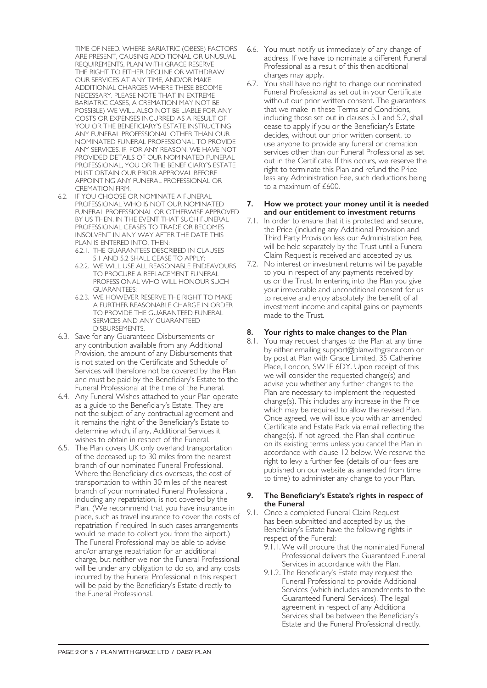TIME OF NEED. WHERE BARIATRIC (OBESE) FACTORS ARE PRESENT, CAUSING ADDITIONAL OR UNUSUAL REQUIREMENTS, PLAN WITH GRACE RESERVE THE RIGHT TO EITHER DECLINE OR WITHDRAW OUR SERVICES AT ANY TIME, AND/OR MAKE ADDITIONAL CHARGES WHERE THESE BECOME NECESSARY. PLEASE NOTE THAT IN EXTREME BARIATRIC CASES, A CREMATION MAY NOT BE POSSIBLE) WE WILL ALSO NOT BE LIABLE FOR ANY COSTS OR EXPENSES INCURRED AS A RESULT OF YOU OR THE BENEFICIARY'S ESTATE INSTRUCTING ANY FUNERAL PROFESSIONAL OTHER THAN OUR NOMINATED FUNERAL PROFESSIONAL TO PROVIDE ANY SERVICES. IF, FOR ANY REASON, WE HAVE NOT PROVIDED DETAILS OF OUR NOMINATED FUNERAL PROFESSIONAL, YOU OR THE BENEFICIARY'S ESTATE MUST OBTAIN OUR PRIOR APPROVAL BEFORE APPOINTING ANY FUNERAL PROFESSIONAL OR CREMATION FIRM.

- 6.2. IF YOU CHOOSE OR NOMINATE A FUNERAL PROFESSIONAL WHO IS NOT OUR NOMINATED FUNERAL PROFESSIONAL OR OTHERWISE APPROVED BY US THEN, IN THE EVENT THAT SUCH FUNERAL PROFESSIONAL CEASES TO TRADE OR BECOMES INSOLVENT IN ANY WAY AFTER THE DATE THIS PLAN IS ENTERED INTO, THEN:
	- 6.2.1. THE GUARANTEES DESCRIBED IN CLAUSES 5.1 AND 5.2 SHALL CEASE TO APPLY;
	- 6.2.2. WE WILL USE ALL REASONABLE ENDEAVOURS TO PROCURE A REPLACEMENT FUNERAL PROFESSIONAL WHO WILL HONOUR SUCH GUARANTEES;
	- 6.2.3. WE HOWEVER RESERVE THE RIGHT TO MAKE A FURTHER REASONABLE CHARGE IN ORDER TO PROVIDE THE GUARANTEED FUNERAL SERVICES AND ANY GUARANTEED DISBURSEMENTS.
- 6.3. Save for any Guaranteed Disbursements or any contribution available from any Additional Provision, the amount of any Disbursements that is not stated on the Certificate and Schedule of Services will therefore not be covered by the Plan and must be paid by the Beneficiary's Estate to the Funeral Professional at the time of the Funeral.
- 6.4. Any Funeral Wishes attached to your Plan operate as a guide to the Beneficiary's Estate. They are not the subject of any contractual agreement and it remains the right of the Beneficiary's Estate to determine which, if any, Additional Services it wishes to obtain in respect of the Funeral.
- 6.5. The Plan covers UK only overland transportation of the deceased up to 30 miles from the nearest branch of our nominated Funeral Professional. Where the Beneficiary dies overseas, the cost of transportation to within 30 miles of the nearest branch of your nominated Funeral Professiona , including any repatriation, is not covered by the Plan. (We recommend that you have insurance in place, such as travel insurance to cover the costs of repatriation if required. In such cases arrangements would be made to collect you from the airport.) The Funeral Professional may be able to advise and/or arrange repatriation for an additional charge, but neither we nor the Funeral Professional will be under any obligation to do so, and any costs incurred by the Funeral Professional in this respect will be paid by the Beneficiary's Estate directly to the Funeral Professional.
- 6.6. You must notify us immediately of any change of address. If we have to nominate a different Funeral Professional as a result of this then additional charges may apply.
- 6.7. You shall have no right to change our nominated Funeral Professional as set out in your Certificate without our prior written consent. The guarantees that we make in these Terms and Conditions, including those set out in clauses 5.1 and 5.2, shall cease to apply if you or the Beneficiary's Estate decides, without our prior written consent, to use anyone to provide any funeral or cremation services other than our Funeral Professional as set out in the Certificate. If this occurs, we reserve the right to terminate this Plan and refund the Price less any Administration Fee, such deductions being to a maximum of £600.

#### **7. How we protect your money until it is needed and our entitlement to investment returns**

- 7.1. In order to ensure that it is protected and secure, the Price (including any Additional Provision and Third Party Provision less our Administration Fee, will be held separately by the Trust until a Funeral Claim Request is received and accepted by us.
- 7.2. No interest or investment returns will be payable to you in respect of any payments received by us or the Trust. In entering into the Plan you give your irrevocable and unconditional consent for us to receive and enjoy absolutely the benefit of all investment income and capital gains on payments made to the Trust.

# **8. Your rights to make changes to the Plan**

8.1. You may request changes to the Plan at any time by either emailing support@planwithgrace.com or by post at Plan with Grace Limited, 35 Catherine Place, London, SW1E 6DY. Upon receipt of this we will consider the requested change(s) and advise you whether any further changes to the Plan are necessary to implement the requested change(s). This includes any increase in the Price which may be required to allow the revised Plan. Once agreed, we will issue you with an amended Certificate and Estate Pack via email reflecting the change(s). If not agreed, the Plan shall continue on its existing terms unless you cancel the Plan in accordance with clause 12 below. We reserve the right to levy a further fee (details of our fees are published on our website as amended from time to time) to administer any change to your Plan.

#### **9. The Beneficiary's Estate's rights in respect of the Funeral**

- 9.1. Once a completed Funeral Claim Request has been submitted and accepted by us, the Beneficiary's Estate have the following rights in respect of the Funeral:
	- 9.1.1.We will procure that the nominated Funeral Professional delivers the Guaranteed Funeral Services in accordance with the Plan.
	- 9.1.2. The Beneficiary's Estate may request the Funeral Professional to provide Additional Services (which includes amendments to the Guaranteed Funeral Services). The legal agreement in respect of any Additional Services shall be between the Beneficiary's Estate and the Funeral Professional directly.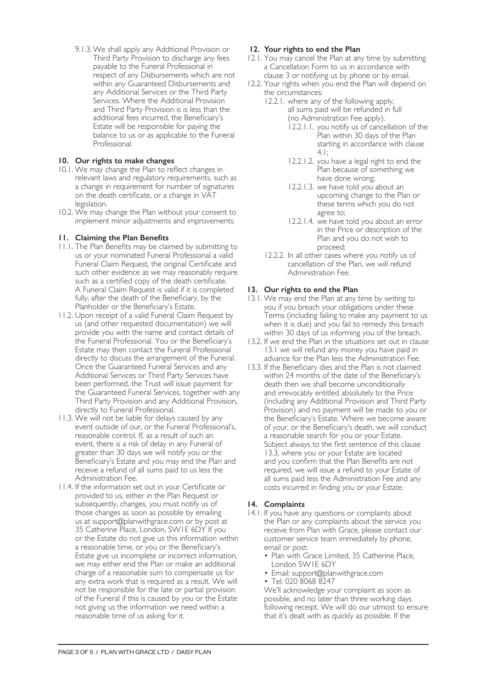9.1.3.We shall apply any Additional Provision or Third Party Provision to discharge any fees payable to the Funeral Professional in respect of any Disbursements which are not within any Guaranteed Disbursements and any Additional Services or the Third Party Services. Where the Additional Provision and Third Party Provision is is less than the additional fees incurred, the Beneficiary's Estate will be responsible for paying the balance to us or as applicable to the Funeral Professional.

# **10. Our rights to make changes**

- 10.1. We may change the Plan to reflect changes in relevant laws and regulatory requirements, such as a change in requirement for number of signatures on the death certificate, or a change in VAT legislation.
- 10.2. We may change the Plan without your consent to implement minor adjustments and improvements.

# **11. Claiming the Plan Benefits**

- 11.1. The Plan Benefits may be claimed by submitting to us or your nominated Funeral Professional a valid Funeral Claim Request, the original Certificate and such other evidence as we may reasonably require such as a certified copy of the death certificate. A Funeral Claim Request is valid if it is completed fully, after the death of the Beneficiary, by the Planholder or the Beneficiary's Estate.
- 11.2. Upon receipt of a valid Funeral Claim Request by us (and other requested documentation) we will provide you with the name and contact details of the Funeral Professional. You or the Beneficiary's Estate may then contact the Funeral Professional directly to discuss the arrangement of the Funeral. Once the Guaranteed Funeral Services and any Additional Services or Third Party Services have been performed, the Trust will issue payment for the Guaranteed Funeral Services, together with any Third Party Provision and any Additional Provision, directly to Funeral Professional.
- 11.3. We will not be liable for delays caused by any event outside of our, or the Funeral Professional's, reasonable control. If, as a result of such an event, there is a risk of delay in any Funeral of greater than 30 days we will notify you or the Beneficiary's Estate and you may end the Plan and receive a refund of all sums paid to us less the Administration Fee.
- 11.4. If the information set out in your Certificate or provided to us, either in the Plan Request or subsequently, changes, you must notify us of those changes as soon as possible by emailing us at support@planwithgrace.com or by post at 35 Catherine Place, London, SW1E 6DY If you or the Estate do not give us this information within a reasonable time, or you or the Beneficiary's Estate give us incomplete or incorrect information, we may either end the Plan or make an additional charge of a reasonable sum to compensate us for any extra work that is required as a result. We will not be responsible for the late or partial provision of the Funeral if this is caused by you or the Estate not giving us the information we need within a reasonable time of us asking for it.

# **12. Your rights to end the Plan**

- 12.1. You may cancel the Plan at any time by submitting a Cancellation Form to us in accordance with clause 3 or notifying us by phone or by email.
- 12.2. Your rights when you end the Plan will depend on the circumstances:
	- 12.2.1. where any of the following apply, all sums paid will be refunded in full (no Administration Fee apply).
		- 12.2.1.1. you notify us of cancellation of the Plan within 30 days of the Plan starting in accordance with clause 4.1;
		- 12.2.1.2. you have a legal right to end the Plan because of something we have done wrong;
		- 12.2.1.3. we have told you about an upcoming change to the Plan or these terms which you do not agree to;
		- 12.2.1.4. we have told you about an error in the Price or description of the Plan and you do not wish to proceed;
	- 12.2.2. In all other cases where you notify us of cancellation of the Plan, we will refund Administration Fee.

#### **13. Our rights to end the Plan**

- 13.1. We may end the Plan at any time by writing to you if you breach your obligations under these Terms (including failing to make any payment to us when it is due) and you fail to remedy this breach within 30 days of us informing you of the breach.
- 13.2. If we end the Plan in the situations set out in clause 13.1 we will refund any money you have paid in advance for the Plan less the Administration Fee.
- 13.3. If the Beneficiary dies and the Plan is not claimed within 24 months of the date of the Beneficiary's death then we shall become unconditionally and irrevocably entitled absolutely to the Price (including any Additional Provision and Third Party Provision) and no payment will be made to you or the Beneficiary's Estate. Where we become aware of your, or the Beneficiary's death, we will conduct a reasonable search for you or your Estate. Subject always to the first sentence of this clause 13.3, where you or your Estate are located and you confirm that the Plan Benefits are not required, we will issue a refund to your Estate of all sums paid less the Administration Fee and any costs incurred in finding you or your Estate.

#### **14. Complaints**

- 14.1. If you have any questions or complaints about the Plan or any complaints about the service you receive from Plan with Grace, please contact our customer service team immediately by phone, email or post:
	- Plan with Grace Limited, 35 Catherine Place, London SW1E 6DY
	- Email: support@planwithgrace.com
	- Tel: 020 8068 8247

We'll acknowledge your complaint as soon as possible, and no later than three working days following receipt. We will do our utmost to ensure that it's dealt with as quickly as possible. If the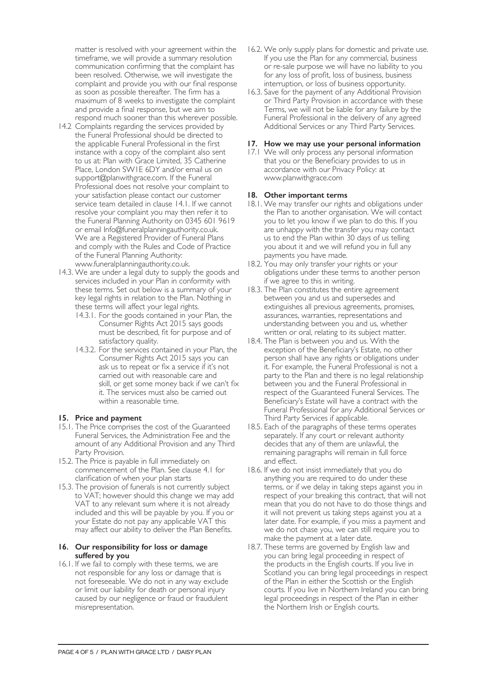matter is resolved with your agreement within the timeframe, we will provide a summary resolution communication confirming that the complaint has been resolved. Otherwise, we will investigate the complaint and provide you with our final response as soon as possible thereafter. The firm has a maximum of 8 weeks to investigate the complaint and provide a final response, but we aim to respond much sooner than this wherever possible.

- 14.2 Complaints regarding the services provided by the Funeral Professional should be directed to the applicable Funeral Professional in the first instance with a copy of the complaint also sent to us at: Plan with Grace Limited, 35 Catherine Place, London SW1E 6DY and/or email us on support@planwithgrace.com. If the Funeral Professional does not resolve your complaint to your satisfaction please contact our customer service team detailed in clause 14.1. If we cannot resolve your complaint you may then refer it to the Funeral Planning Authority on 0345 601 9619 or email Info@funeralplanningauthority.co.uk. We are a Registered Provider of Funeral Plans and comply with the Rules and Code of Practice of the Funeral Planning Authority: www.funeralplanningauthority.co.uk.
- 14.3. We are under a legal duty to supply the goods and services included in your Plan in conformity with these terms. Set out below is a summary of your key legal rights in relation to the Plan. Nothing in these terms will affect your legal rights.
	- 14.3.1. For the goods contained in your Plan, the Consumer Rights Act 2015 says goods must be described, fit for purpose and of satisfactory quality.
	- 14.3.2. For the services contained in your Plan, the Consumer Rights Act 2015 says you can ask us to repeat or fix a service if it's not carried out with reasonable care and skill, or get some money back if we can't fix it. The services must also be carried out within a reasonable time.

# **15. Price and payment**

- 15.1. The Price comprises the cost of the Guaranteed Funeral Services, the Administration Fee and the amount of any Additional Provision and any Third Party Provision.
- 15.2. The Price is payable in full immediately on commencement of the Plan. See clause 4.1 for clarification of when your plan starts
- 15.3. The provision of funerals is not currently subject to VAT; however should this change we may add VAT to any relevant sum where it is not already included and this will be payable by you. If you or your Estate do not pay any applicable VAT this may affect our ability to deliver the Plan Benefits.

#### **16. Our responsibility for loss or damage suffered by you**

16.1. If we fail to comply with these terms, we are not responsible for any loss or damage that is not foreseeable. We do not in any way exclude or limit our liability for death or personal injury caused by our negligence or fraud or fraudulent misrepresentation.

- 16.2. We only supply plans for domestic and private use. If you use the Plan for any commercial, business or re-sale purpose we will have no liability to you for any loss of profit, loss of business, business interruption, or loss of business opportunity.
- 16.3. Save for the payment of any Additional Provision or Third Party Provision in accordance with these Terms, we will not be liable for any failure by the Funeral Professional in the delivery of any agreed Additional Services or any Third Party Services.

# **17. How we may use your personal information**

17.1 We will only process any personal information that you or the Beneficiary provides to us in accordance with our Privacy Policy: at www.planwithgrace.com

# **18. Other important terms**

- 18.1. We may transfer our rights and obligations under the Plan to another organisation. We will contact you to let you know if we plan to do this. If you are unhappy with the transfer you may contact us to end the Plan within 30 days of us telling you about it and we will refund you in full any payments you have made.
- 18.2. You may only transfer your rights or your obligations under these terms to another person if we agree to this in writing.
- 18.3. The Plan constitutes the entire agreement between you and us and supersedes and extinguishes all previous agreements, promises, assurances, warranties, representations and understanding between you and us, whether written or oral, relating to its subject matter.
- 18.4. The Plan is between you and us. With the exception of the Beneficiary's Estate, no other person shall have any rights or obligations under it. For example, the Funeral Professional is not a party to the Plan and there is no legal relationship between you and the Funeral Professional in respect of the Guaranteed Funeral Services. The Beneficiary's Estate will have a contract with the Funeral Professional for any Additional Services or Third Party Services if applicable.
- 18.5. Each of the paragraphs of these terms operates separately. If any court or relevant authority decides that any of them are unlawful, the remaining paragraphs will remain in full force and effect.
- 18.6. If we do not insist immediately that you do anything you are required to do under these terms, or if we delay in taking steps against you in respect of your breaking this contract, that will not mean that you do not have to do those things and it will not prevent us taking steps against you at a later date. For example, if you miss a payment and we do not chase you, we can still require you to make the payment at a later date.
- 18.7. These terms are governed by English law and you can bring legal proceeding in respect of the products in the English courts. If you live in Scotland you can bring legal proceedings in respect of the Plan in either the Scottish or the English courts. If you live in Northern Ireland you can bring legal proceedings in respect of the Plan in either the Northern Irish or English courts.